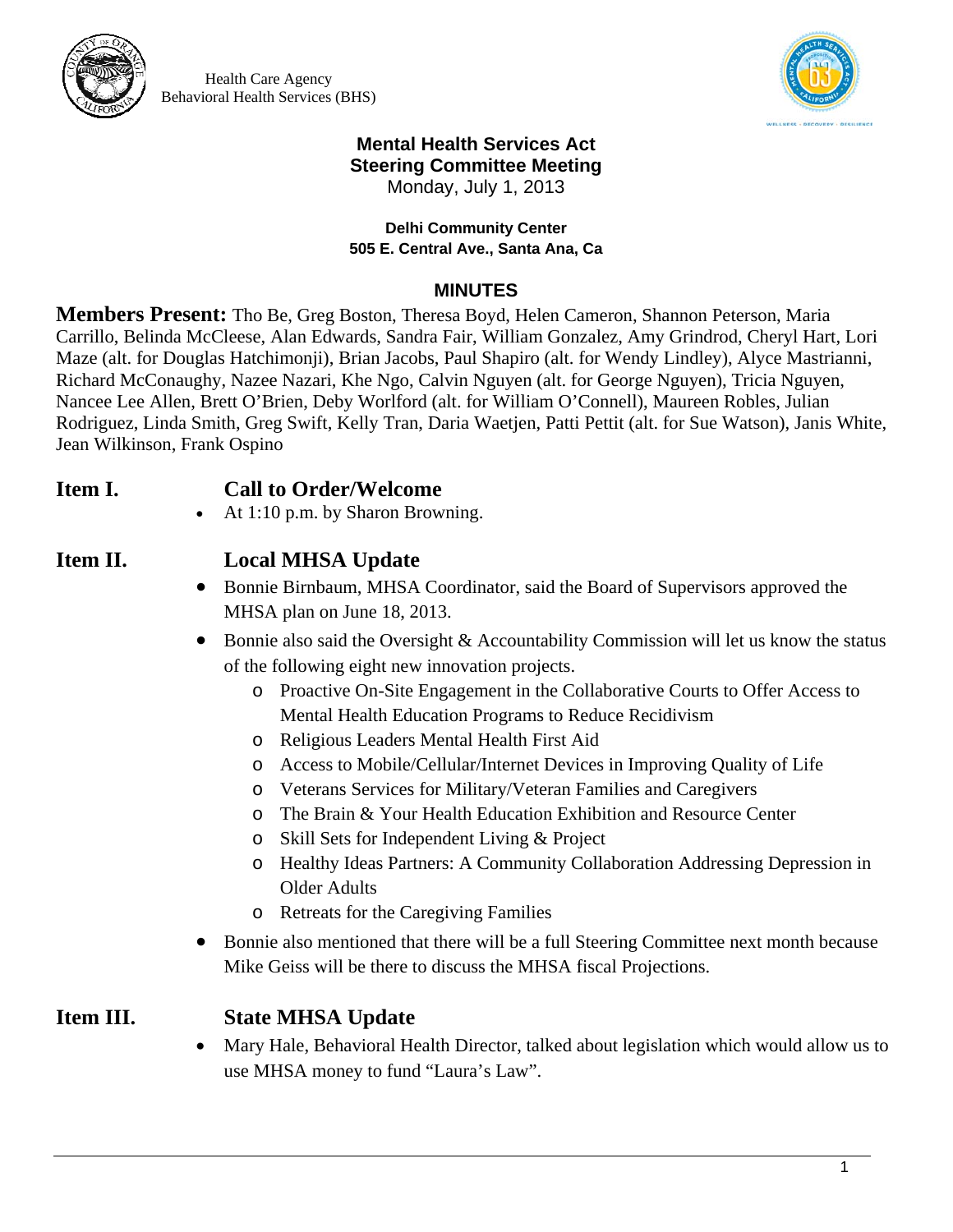

Health Care Agency Behavioral Health Services (BHS)



# **Mental Health Services Act Steering Committee Meeting**

Monday, July 1, 2013

#### **Delhi Community Center 505 E. Central Ave., Santa Ana, Ca**

#### **MINUTES**

**Members Present:** Tho Be, Greg Boston, Theresa Boyd, Helen Cameron, Shannon Peterson, Maria Carrillo, Belinda McCleese, Alan Edwards, Sandra Fair, William Gonzalez, Amy Grindrod, Cheryl Hart, Lori Maze (alt. for Douglas Hatchimonji), Brian Jacobs, Paul Shapiro (alt. for Wendy Lindley), Alyce Mastrianni, Richard McConaughy, Nazee Nazari, Khe Ngo, Calvin Nguyen (alt. for George Nguyen), Tricia Nguyen, Nancee Lee Allen, Brett O'Brien, Deby Worlford (alt. for William O'Connell), Maureen Robles, Julian Rodriguez, Linda Smith, Greg Swift, Kelly Tran, Daria Waetjen, Patti Pettit (alt. for Sue Watson), Janis White, Jean Wilkinson, Frank Ospino

## **Item I. Call to Order/Welcome**

At 1:10 p.m. by Sharon Browning.

### **Item II. Local MHSA Update**

- Bonnie Birnbaum, MHSA Coordinator, said the Board of Supervisors approved the MHSA plan on June 18, 2013.
- Bonnie also said the Oversight & Accountability Commission will let us know the status of the following eight new innovation projects.
	- o Proactive On-Site Engagement in the Collaborative Courts to Offer Access to Mental Health Education Programs to Reduce Recidivism
	- o Religious Leaders Mental Health First Aid
	- o Access to Mobile/Cellular/Internet Devices in Improving Quality of Life
	- o Veterans Services for Military/Veteran Families and Caregivers
	- o The Brain & Your Health Education Exhibition and Resource Center
	- o Skill Sets for Independent Living & Project
	- o Healthy Ideas Partners: A Community Collaboration Addressing Depression in Older Adults
	- o Retreats for the Caregiving Families
- Bonnie also mentioned that there will be a full Steering Committee next month because Mike Geiss will be there to discuss the MHSA fiscal Projections.

## **Item III. State MHSA Update**

 Mary Hale, Behavioral Health Director, talked about legislation which would allow us to use MHSA money to fund "Laura's Law".